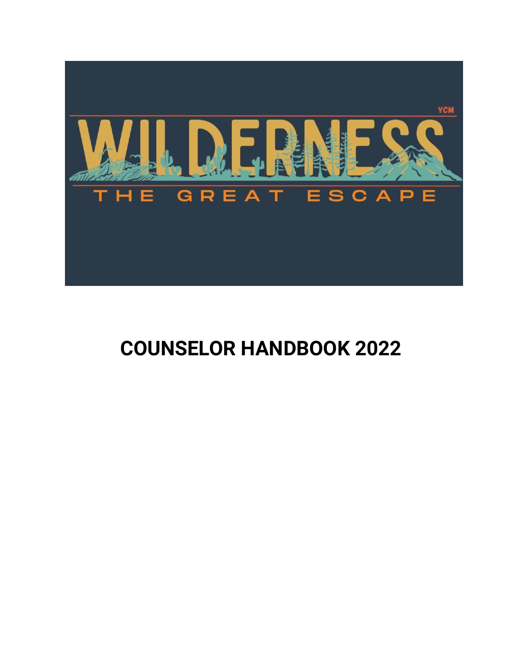

### **COUNSELOR HANDBOOK 2022**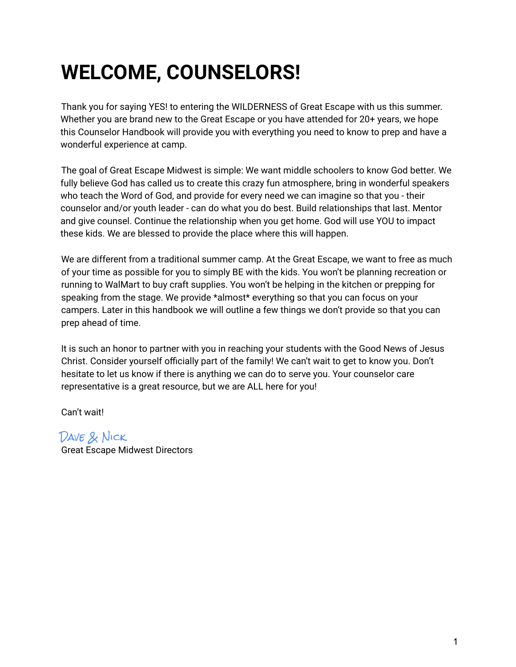## **WELCOME, COUNSELORS!**

Thank you for saying YES! to entering the WILDERNESS of Great Escape with us this summer. Whether you are brand new to the Great Escape or you have attended for 20+ years, we hope this Counselor Handbook will provide you with everything you need to know to prep and have a wonderful experience at camp.

The goal of Great Escape Midwest is simple: We want middle schoolers to know God better. We fully believe God has called us to create this crazy fun atmosphere, bring in wonderful speakers who teach the Word of God, and provide for every need we can imagine so that you - their counselor and/or youth leader - can do what you do best. Build relationships that last. Mentor and give counsel. Continue the relationship when you get home. God will use YOU to impact these kids. We are blessed to provide the place where this will happen.

We are different from a traditional summer camp. At the Great Escape, we want to free as much of your time as possible for you to simply BE with the kids. You won't be planning recreation or running to WalMart to buy craft supplies. You won't be helping in the kitchen or prepping for speaking from the stage. We provide \*almost\* everything so that you can focus on your campers. Later in this handbook we will outline a few things we don't provide so that you can prep ahead of time.

It is such an honor to partner with you in reaching your students with the Good News of Jesus Christ. Consider yourself officially part of the family! We can't wait to get to know you. Don't hesitate to let us know if there is anything we can do to serve you. Your counselor care representative is a great resource, but we are ALL here for you!

Can't wait!

Dave & Nick Great Escape Midwest Directors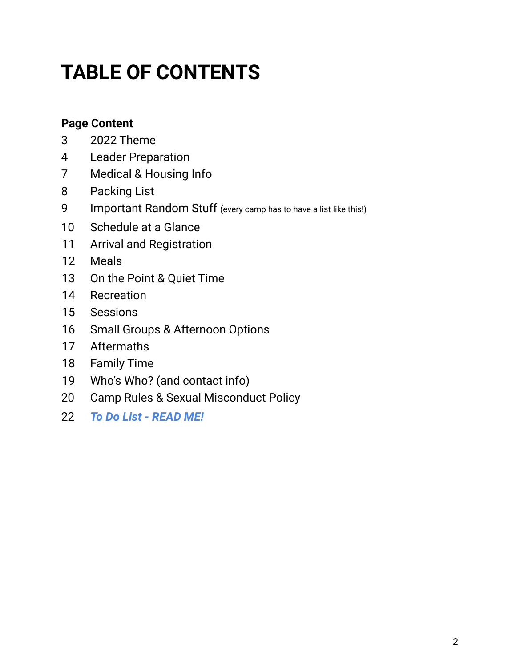# **TABLE OF CONTENTS**

### **Page Content**

- 2022 Theme
- Leader Preparation
- Medical & Housing Info
- Packing List
- 9 Important Random Stuff (every camp has to have a list like this!)
- Schedule at a Glance
- Arrival and Registration
- Meals
- On the Point & Quiet Time
- Recreation
- Sessions
- Small Groups & Afternoon Options
- Aftermaths
- Family Time
- Who's Who? (and contact info)
- Camp Rules & Sexual Misconduct Policy
- *To Do List - READ ME!*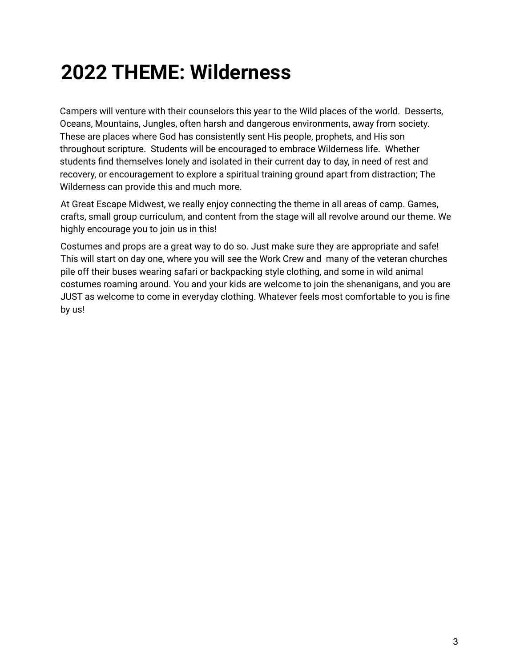### **2022 THEME: Wilderness**

Campers will venture with their counselors this year to the Wild places of the world. Desserts, Oceans, Mountains, Jungles, often harsh and dangerous environments, away from society. These are places where God has consistently sent His people, prophets, and His son throughout scripture. Students will be encouraged to embrace Wilderness life. Whether students find themselves lonely and isolated in their current day to day, in need of rest and recovery, or encouragement to explore a spiritual training ground apart from distraction; The Wilderness can provide this and much more.

At Great Escape Midwest, we really enjoy connecting the theme in all areas of camp. Games, crafts, small group curriculum, and content from the stage will all revolve around our theme. We highly encourage you to join us in this!

Costumes and props are a great way to do so. Just make sure they are appropriate and safe! This will start on day one, where you will see the Work Crew and many of the veteran churches pile off their buses wearing safari or backpacking style clothing, and some in wild animal costumes roaming around. You and your kids are welcome to join the shenanigans, and you are JUST as welcome to come in everyday clothing. Whatever feels most comfortable to you is fine by us!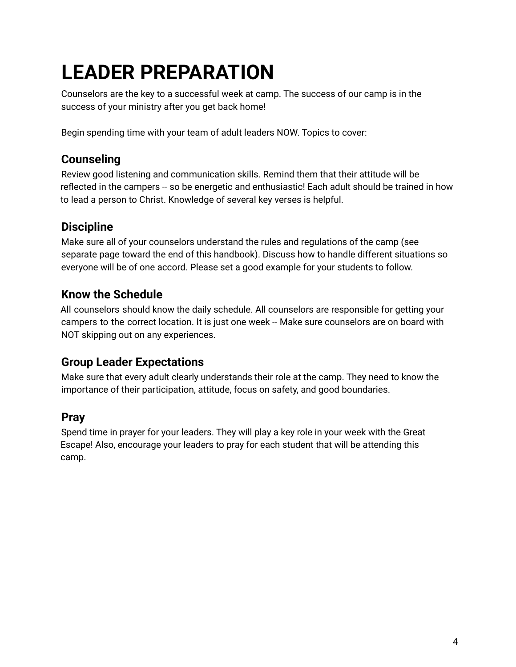# **LEADER PREPARATION**

Counselors are the key to a successful week at camp. The success of our camp is in the success of your ministry after you get back home!

Begin spending time with your team of adult leaders NOW. Topics to cover:

### **Counseling**

Review good listening and communication skills. Remind them that their attitude will be reflected in the campers -- so be energetic and enthusiastic! Each adult should be trained in how to lead a person to Christ. Knowledge of several key verses is helpful.

### **Discipline**

Make sure all of your counselors understand the rules and regulations of the camp (see separate page toward the end of this handbook). Discuss how to handle different situations so everyone will be of one accord. Please set a good example for your students to follow.

### **Know the Schedule**

All counselors should know the daily schedule. All counselors are responsible for getting your campers to the correct location. It is just one week -- Make sure counselors are on board with NOT skipping out on any experiences.

### **Group Leader Expectations**

Make sure that every adult clearly understands their role at the camp. They need to know the importance of their participation, attitude, focus on safety, and good boundaries.

### **Pray**

Spend time in prayer for your leaders. They will play a key role in your week with the Great Escape! Also, encourage your leaders to pray for each student that will be attending this camp.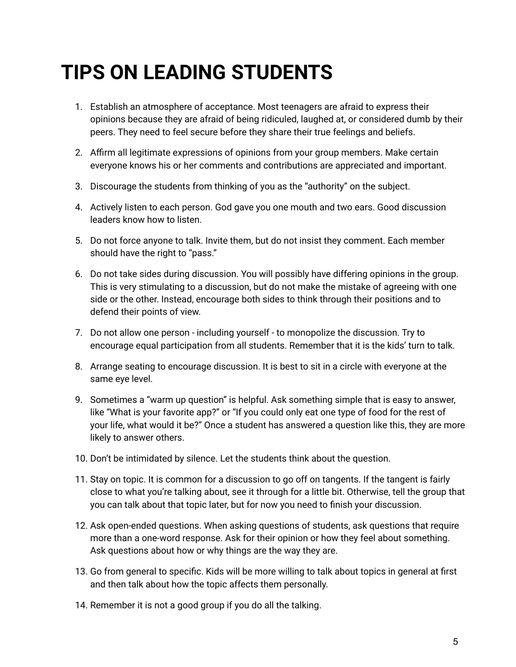## **TIPS ON LEADING STUDENTS**

- 1. Establish an atmosphere of acceptance. Most teenagers are afraid to express their opinions because they are afraid of being ridiculed, laughed at, or considered dumb by their peers. They need to feel secure before they share their true feelings and beliefs.
- 2. Affirm all legitimate expressions of opinions from your group members. Make certain everyone knows his or her comments and contributions are appreciated and important.
- 3. Discourage the students from thinking of you as the "authority" on the subject.
- 4. Actively listen to each person. God gave you one mouth and two ears. Good discussion leaders know how to listen.
- 5. Do not force anyone to talk. Invite them, but do not insist they comment. Each member should have the right to "pass."
- 6. Do not take sides during discussion. You will possibly have differing opinions in the group. This is very stimulating to a discussion, but do not make the mistake of agreeing with one side or the other. Instead, encourage both sides to think through their positions and to defend their points of view.
- 7. Do not allow one person including yourself to monopolize the discussion. Try to encourage equal participation from all students. Remember that it is the kids' turn to talk.
- 8. Arrange seating to encourage discussion. It is best to sit in a circle with everyone at the same eye level.
- 9. Sometimes a "warm up question" is helpful. Ask something simple that is easy to answer, like "What is your favorite app?" or "If you could only eat one type of food for the rest of your life, what would it be?" Once a student has answered a question like this, they are more likely to answer others.
- 10. Don't be intimidated by silence. Let the students think about the question.
- 11. Stay on topic. It is common for a discussion to go off on tangents. If the tangent is fairly close to what you're talking about, see it through for a little bit. Otherwise, tell the group that you can talk about that topic later, but for now you need to finish your discussion.
- 12. Ask open-ended questions. When asking questions of students, ask questions that require more than a one-word response. Ask for their opinion or how they feel about something. Ask questions about how or why things are the way they are.
- 13. Go from general to specific. Kids will be more willing to talk about topics in general at first and then talk about how the topic affects them personally.
- 14. Remember it is not a good group if you do all the talking.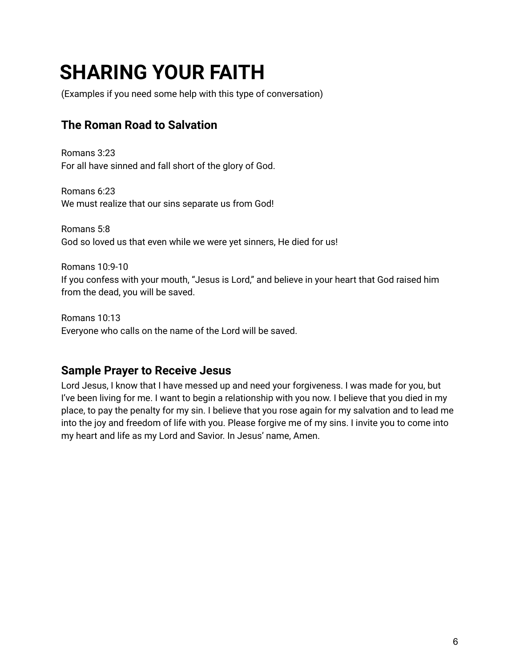## **SHARING YOUR FAITH**

(Examples if you need some help with this type of conversation)

#### **The Roman Road to Salvation**

Romans 3:23 For all have sinned and fall short of the glory of God.

Romans 6:23 We must realize that our sins separate us from God!

Romans 5:8 God so loved us that even while we were yet sinners, He died for us!

Romans 10:9-10 If you confess with your mouth, "Jesus is Lord," and believe in your heart that God raised him from the dead, you will be saved.

Romans 10:13 Everyone who calls on the name of the Lord will be saved.

#### **Sample Prayer to Receive Jesus**

Lord Jesus, I know that I have messed up and need your forgiveness. I was made for you, but I've been living for me. I want to begin a relationship with you now. I believe that you died in my place, to pay the penalty for my sin. I believe that you rose again for my salvation and to lead me into the joy and freedom of life with you. Please forgive me of my sins. I invite you to come into my heart and life as my Lord and Savior. In Jesus' name, Amen.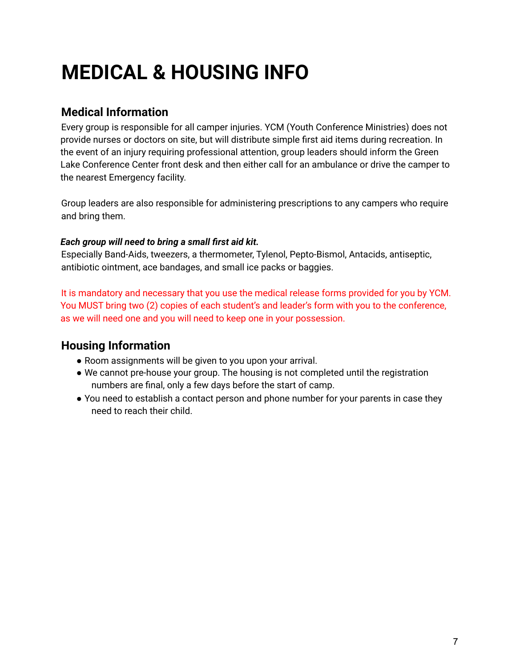## **MEDICAL & HOUSING INFO**

#### **Medical Information**

Every group is responsible for all camper injuries. YCM (Youth Conference Ministries) does not provide nurses or doctors on site, but will distribute simple first aid items during recreation. In the event of an injury requiring professional attention, group leaders should inform the Green Lake Conference Center front desk and then either call for an ambulance or drive the camper to the nearest Emergency facility.

Group leaders are also responsible for administering prescriptions to any campers who require and bring them.

#### *Each group will need to bring a small first aid kit.*

Especially Band-Aids, tweezers, a thermometer, Tylenol, Pepto-Bismol, Antacids, antiseptic, antibiotic ointment, ace bandages, and small ice packs or baggies.

It is mandatory and necessary that you use the medical release forms provided for you by YCM. You MUST bring two (2) copies of each student's and leader's form with you to the conference, as we will need one and you will need to keep one in your possession.

#### **Housing Information**

- Room assignments will be given to you upon your arrival.
- We cannot pre-house your group. The housing is not completed until the registration numbers are final, only a few days before the start of camp.
- You need to establish a contact person and phone number for your parents in case they need to reach their child.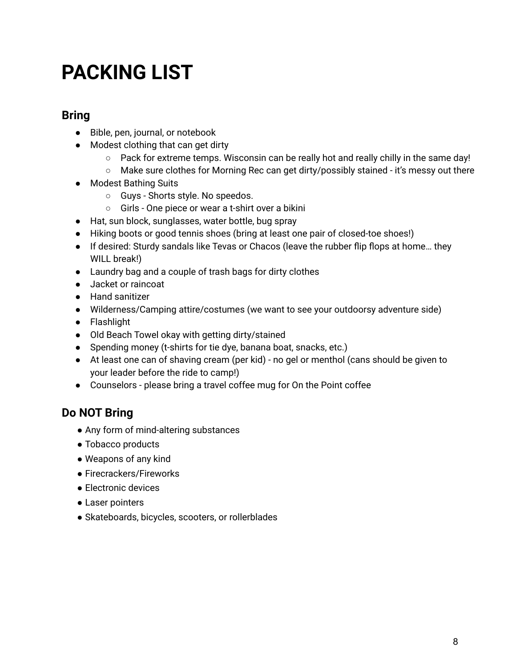### **PACKING LIST**

#### **Bring**

- Bible, pen, journal, or notebook
- Modest clothing that can get dirty
	- $\circ$  Pack for extreme temps. Wisconsin can be really hot and really chilly in the same day!
	- Make sure clothes for Morning Rec can get dirty/possibly stained it's messy out there
- Modest Bathing Suits
	- Guys Shorts style. No speedos.
	- Girls One piece or wear a t-shirt over a bikini
- Hat, sun block, sunglasses, water bottle, bug spray
- Hiking boots or good tennis shoes (bring at least one pair of closed-toe shoes!)
- If desired: Sturdy sandals like Tevas or Chacos (leave the rubber flip flops at home… they WILL break!)
- Laundry bag and a couple of trash bags for dirty clothes
- Jacket or raincoat
- Hand sanitizer
- Wilderness/Camping attire/costumes (we want to see your outdoorsy adventure side)
- Flashlight
- Old Beach Towel okay with getting dirty/stained
- Spending money (t-shirts for tie dye, banana boat, snacks, etc.)
- At least one can of shaving cream (per kid) no gel or menthol (cans should be given to your leader before the ride to camp!)
- Counselors please bring a travel coffee mug for On the Point coffee

### **Do NOT Bring**

- Any form of mind-altering substances
- Tobacco products
- Weapons of any kind
- Firecrackers/Fireworks
- Electronic devices
- Laser pointers
- Skateboards, bicycles, scooters, or rollerblades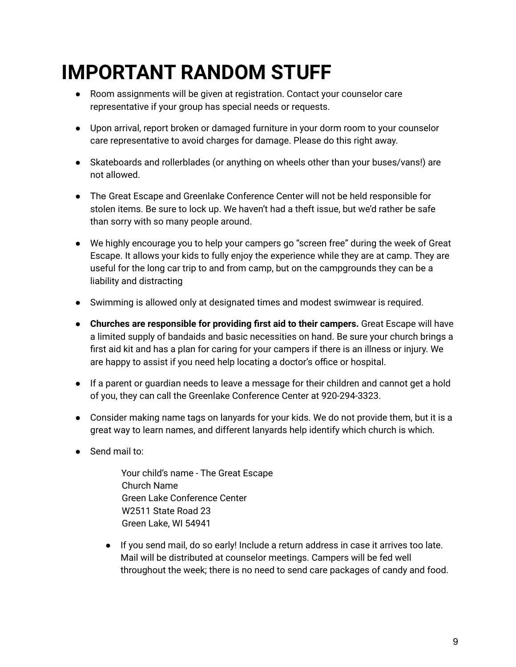## **IMPORTANT RANDOM STUFF**

- Room assignments will be given at registration. Contact your counselor care representative if your group has special needs or requests.
- Upon arrival, report broken or damaged furniture in your dorm room to your counselor care representative to avoid charges for damage. Please do this right away.
- Skateboards and rollerblades (or anything on wheels other than your buses/vans!) are not allowed.
- The Great Escape and Greenlake Conference Center will not be held responsible for stolen items. Be sure to lock up. We haven't had a theft issue, but we'd rather be safe than sorry with so many people around.
- We highly encourage you to help your campers go "screen free" during the week of Great Escape. It allows your kids to fully enjoy the experience while they are at camp. They are useful for the long car trip to and from camp, but on the campgrounds they can be a liability and distracting
- Swimming is allowed only at designated times and modest swimwear is required.
- **Churches are responsible for providing first aid to their campers.** Great Escape will have a limited supply of bandaids and basic necessities on hand. Be sure your church brings a first aid kit and has a plan for caring for your campers if there is an illness or injury. We are happy to assist if you need help locating a doctor's office or hospital.
- If a parent or guardian needs to leave a message for their children and cannot get a hold of you, they can call the Greenlake Conference Center at 920-294-3323.
- Consider making name tags on lanyards for your kids. We do not provide them, but it is a great way to learn names, and different lanyards help identify which church is which.
- Send mail to:
	- Your child's name The Great Escape Church Name Green Lake Conference Center W2511 State Road 23 Green Lake, WI 54941
	- If you send mail, do so early! Include a return address in case it arrives too late. Mail will be distributed at counselor meetings. Campers will be fed well throughout the week; there is no need to send care packages of candy and food.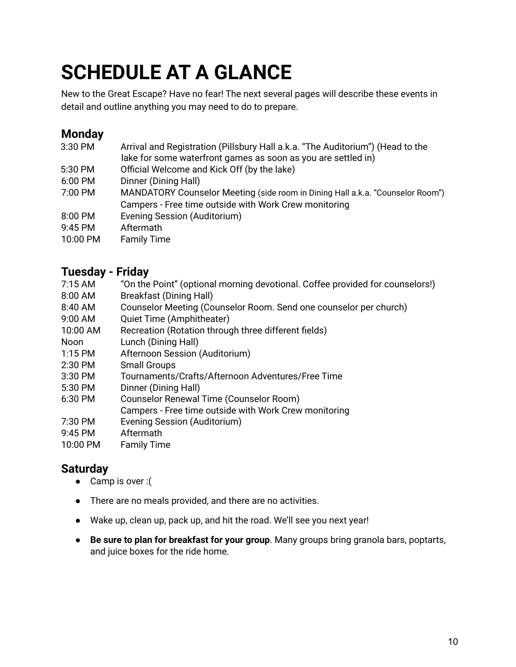# **SCHEDULE AT A GLANCE**

New to the Great Escape? Have no fear! The next several pages will describe these events in detail and outline anything you may need to do to prepare.

#### **Monday**

| 3:30 PM  | Arrival and Registration (Pillsbury Hall a.k.a. "The Auditorium") (Head to the |
|----------|--------------------------------------------------------------------------------|
|          | lake for some waterfront games as soon as you are settled in)                  |
| 5:30 PM  | Official Welcome and Kick Off (by the lake)                                    |
| 6:00 PM  | Dinner (Dining Hall)                                                           |
| 7:00 PM  | MANDATORY Counselor Meeting (side room in Dining Hall a.k.a. "Counselor Room") |
|          | Campers - Free time outside with Work Crew monitoring                          |
| 8:00 PM  | Evening Session (Auditorium)                                                   |
| 9:45 PM  | Aftermath                                                                      |
| 10:00 PM | <b>Family Time</b>                                                             |

#### **Tuesday - Friday**

| .                 | .                                                                             |
|-------------------|-------------------------------------------------------------------------------|
| $7:15 \text{ AM}$ | "On the Point" (optional morning devotional. Coffee provided for counselors!) |
| 8:00 AM           | <b>Breakfast (Dining Hall)</b>                                                |
| 8:40 AM           | Counselor Meeting (Counselor Room. Send one counselor per church)             |
| 9:00 AM           | Quiet Time (Amphitheater)                                                     |
| 10:00 AM          | Recreation (Rotation through three different fields)                          |
| <b>Noon</b>       | Lunch (Dining Hall)                                                           |
| $1:15$ PM         | Afternoon Session (Auditorium)                                                |
| 2:30 PM           | <b>Small Groups</b>                                                           |
| 3:30 PM           | Tournaments/Crafts/Afternoon Adventures/Free Time                             |
| 5:30 PM           | Dinner (Dining Hall)                                                          |
| 6:30 PM           | Counselor Renewal Time (Counselor Room)                                       |
|                   | Campers - Free time outside with Work Crew monitoring                         |
| 7:30 PM           | Evening Session (Auditorium)                                                  |
| 9:45 PM           | Aftermath                                                                     |
| 10:00 PM          | <b>Family Time</b>                                                            |
|                   |                                                                               |

### **Saturday**

- Camp is over :(
- There are no meals provided, and there are no activities.
- Wake up, clean up, pack up, and hit the road. We'll see you next year!
- **Be sure to plan for breakfast for your group**. Many groups bring granola bars, poptarts, and juice boxes for the ride home.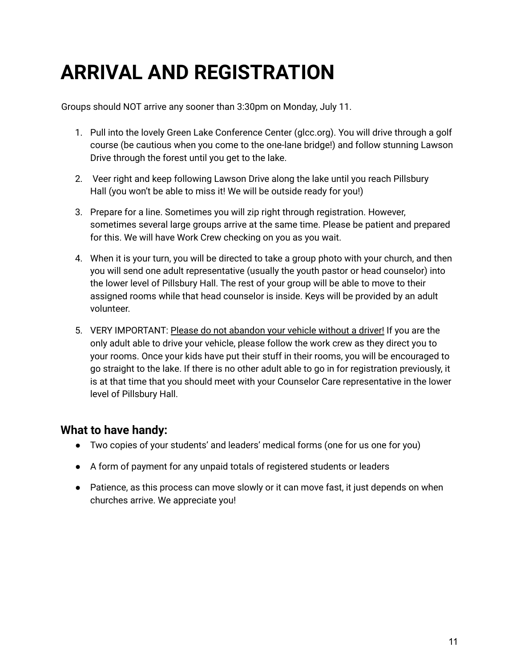## **ARRIVAL AND REGISTRATION**

Groups should NOT arrive any sooner than 3:30pm on Monday, July 11.

- 1. Pull into the lovely Green Lake Conference Center (glcc.org). You will drive through a golf course (be cautious when you come to the one-lane bridge!) and follow stunning Lawson Drive through the forest until you get to the lake.
- 2. Veer right and keep following Lawson Drive along the lake until you reach Pillsbury Hall (you won't be able to miss it! We will be outside ready for you!)
- 3. Prepare for a line. Sometimes you will zip right through registration. However, sometimes several large groups arrive at the same time. Please be patient and prepared for this. We will have Work Crew checking on you as you wait.
- 4. When it is your turn, you will be directed to take a group photo with your church, and then you will send one adult representative (usually the youth pastor or head counselor) into the lower level of Pillsbury Hall. The rest of your group will be able to move to their assigned rooms while that head counselor is inside. Keys will be provided by an adult volunteer.
- 5. VERY IMPORTANT: Please do not abandon your vehicle without a driver! If you are the only adult able to drive your vehicle, please follow the work crew as they direct you to your rooms. Once your kids have put their stuff in their rooms, you will be encouraged to go straight to the lake. If there is no other adult able to go in for registration previously, it is at that time that you should meet with your Counselor Care representative in the lower level of Pillsbury Hall.

#### **What to have handy:**

- Two copies of your students' and leaders' medical forms (one for us one for you)
- A form of payment for any unpaid totals of registered students or leaders
- Patience, as this process can move slowly or it can move fast, it just depends on when churches arrive. We appreciate you!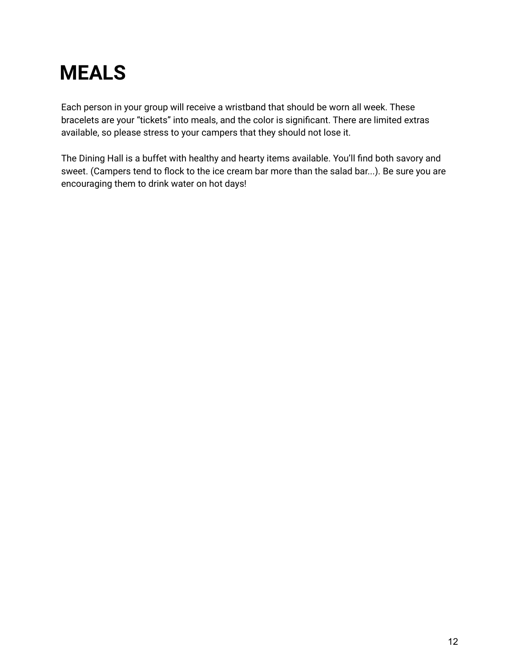## **MEALS**

Each person in your group will receive a wristband that should be worn all week. These bracelets are your "tickets" into meals, and the color is significant. There are limited extras available, so please stress to your campers that they should not lose it.

The Dining Hall is a buffet with healthy and hearty items available. You'll find both savory and sweet. (Campers tend to flock to the ice cream bar more than the salad bar...). Be sure you are encouraging them to drink water on hot days!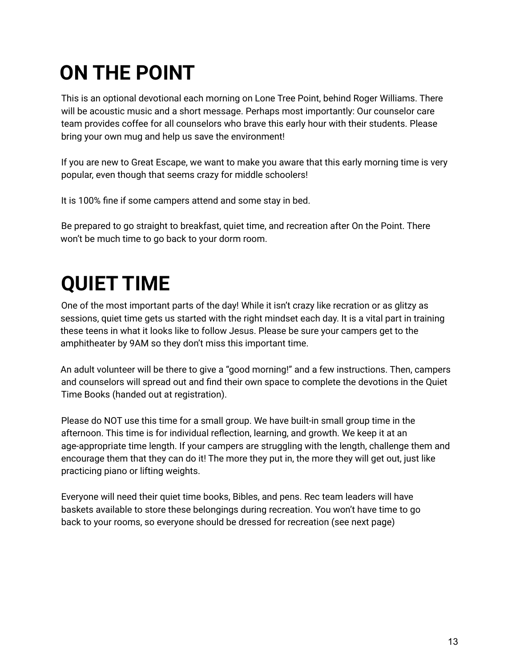# **ON THE POINT**

This is an optional devotional each morning on Lone Tree Point, behind Roger Williams. There will be acoustic music and a short message. Perhaps most importantly: Our counselor care team provides coffee for all counselors who brave this early hour with their students. Please bring your own mug and help us save the environment!

If you are new to Great Escape, we want to make you aware that this early morning time is very popular, even though that seems crazy for middle schoolers!

It is 100% fine if some campers attend and some stay in bed.

Be prepared to go straight to breakfast, quiet time, and recreation after On the Point. There won't be much time to go back to your dorm room.

## **QUIET TIME**

One of the most important parts of the day! While it isn't crazy like recration or as glitzy as sessions, quiet time gets us started with the right mindset each day. It is a vital part in training these teens in what it looks like to follow Jesus. Please be sure your campers get to the amphitheater by 9AM so they don't miss this important time.

An adult volunteer will be there to give a "good morning!" and a few instructions. Then, campers and counselors will spread out and find their own space to complete the devotions in the Quiet Time Books (handed out at registration).

Please do NOT use this time for a small group. We have built-in small group time in the afternoon. This time is for individual reflection, learning, and growth. We keep it at an age-appropriate time length. If your campers are struggling with the length, challenge them and encourage them that they can do it! The more they put in, the more they will get out, just like practicing piano or lifting weights.

Everyone will need their quiet time books, Bibles, and pens. Rec team leaders will have baskets available to store these belongings during recreation. You won't have time to go back to your rooms, so everyone should be dressed for recreation (see next page)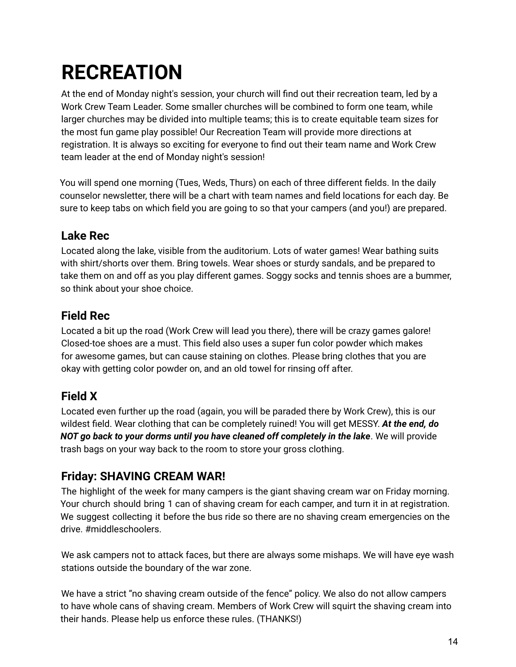# **RECREATION**

At the end of Monday night's session, your church will find out their recreation team, led by a Work Crew Team Leader. Some smaller churches will be combined to form one team, while larger churches may be divided into multiple teams; this is to create equitable team sizes for the most fun game play possible! Our Recreation Team will provide more directions at registration. It is always so exciting for everyone to find out their team name and Work Crew team leader at the end of Monday night's session!

You will spend one morning (Tues, Weds, Thurs) on each of three different fields. In the daily counselor newsletter, there will be a chart with team names and field locations for each day. Be sure to keep tabs on which field you are going to so that your campers (and you!) are prepared.

#### **Lake Rec**

Located along the lake, visible from the auditorium. Lots of water games! Wear bathing suits with shirt/shorts over them. Bring towels. Wear shoes or sturdy sandals, and be prepared to take them on and off as you play different games. Soggy socks and tennis shoes are a bummer, so think about your shoe choice.

#### **Field Rec**

Located a bit up the road (Work Crew will lead you there), there will be crazy games galore! Closed-toe shoes are a must. This field also uses a super fun color powder which makes for awesome games, but can cause staining on clothes. Please bring clothes that you are okay with getting color powder on, and an old towel for rinsing off after.

### **Field X**

Located even further up the road (again, you will be paraded there by Work Crew), this is our wildest field. Wear clothing that can be completely ruined! You will get MESSY. *At the end, do NOT go back to your dorms until you have cleaned off completely in the lake*. We will provide trash bags on your way back to the room to store your gross clothing.

### **Friday: SHAVING CREAM WAR!**

The highlight of the week for many campers is the giant shaving cream war on Friday morning. Your church should bring 1 can of shaving cream for each camper, and turn it in at registration. We suggest collecting it before the bus ride so there are no shaving cream emergencies on the drive. #middleschoolers.

We ask campers not to attack faces, but there are always some mishaps. We will have eye wash stations outside the boundary of the war zone.

We have a strict "no shaving cream outside of the fence" policy. We also do not allow campers to have whole cans of shaving cream. Members of Work Crew will squirt the shaving cream into their hands. Please help us enforce these rules. (THANKS!)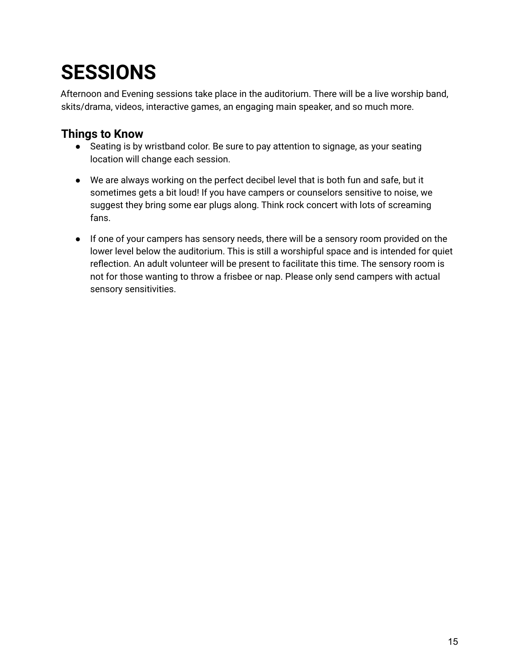## **SESSIONS**

Afternoon and Evening sessions take place in the auditorium. There will be a live worship band, skits/drama, videos, interactive games, an engaging main speaker, and so much more.

### **Things to Know**

- Seating is by wristband color. Be sure to pay attention to signage, as your seating location will change each session.
- We are always working on the perfect decibel level that is both fun and safe, but it sometimes gets a bit loud! If you have campers or counselors sensitive to noise, we suggest they bring some ear plugs along. Think rock concert with lots of screaming fans.
- If one of your campers has sensory needs, there will be a sensory room provided on the lower level below the auditorium. This is still a worshipful space and is intended for quiet reflection. An adult volunteer will be present to facilitate this time. The sensory room is not for those wanting to throw a frisbee or nap. Please only send campers with actual sensory sensitivities.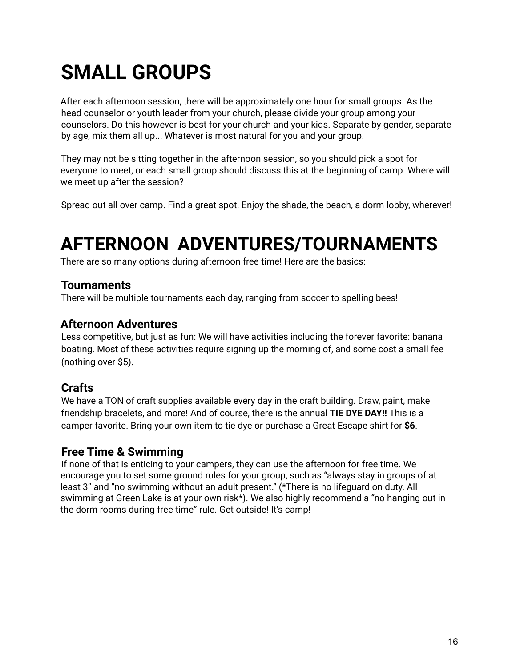## **SMALL GROUPS**

After each afternoon session, there will be approximately one hour for small groups. As the head counselor or youth leader from your church, please divide your group among your counselors. Do this however is best for your church and your kids. Separate by gender, separate by age, mix them all up... Whatever is most natural for you and your group.

They may not be sitting together in the afternoon session, so you should pick a spot for everyone to meet, or each small group should discuss this at the beginning of camp. Where will we meet up after the session?

Spread out all over camp. Find a great spot. Enjoy the shade, the beach, a dorm lobby, wherever!

### **AFTERNOON ADVENTURES/TOURNAMENTS**

There are so many options during afternoon free time! Here are the basics:

#### **Tournaments**

There will be multiple tournaments each day, ranging from soccer to spelling bees!

#### **Afternoon Adventures**

Less competitive, but just as fun: We will have activities including the forever favorite: banana boating. Most of these activities require signing up the morning of, and some cost a small fee (nothing over \$5).

#### **Crafts**

We have a TON of craft supplies available every day in the craft building. Draw, paint, make friendship bracelets, and more! And of course, there is the annual **TIE DYE DAY!!** This is a camper favorite. Bring your own item to tie dye or purchase a Great Escape shirt for **\$6**.

#### **Free Time & Swimming**

If none of that is enticing to your campers, they can use the afternoon for free time. We encourage you to set some ground rules for your group, such as "always stay in groups of at least 3" and "no swimming without an adult present." (\*There is no lifeguard on duty. All swimming at Green Lake is at your own risk\*). We also highly recommend a "no hanging out in the dorm rooms during free time" rule. Get outside! It's camp!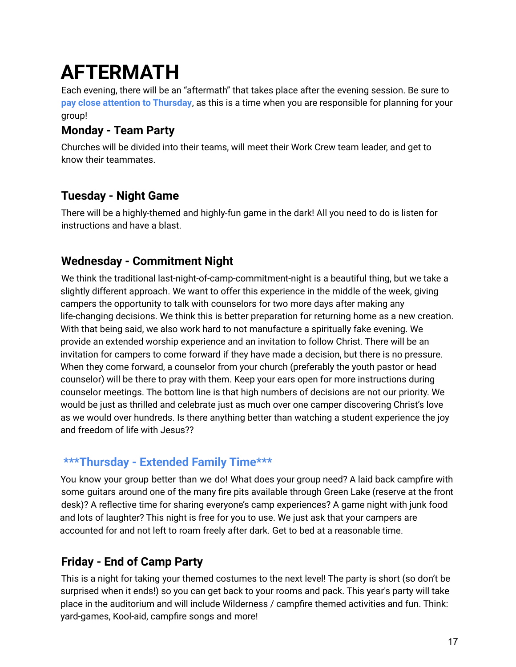## **AFTERMATH**

Each evening, there will be an "aftermath" that takes place after the evening session. Be sure to **pay close attention to Thursday**, as this is a time when you are responsible for planning for your group!

#### **Monday - Team Party**

Churches will be divided into their teams, will meet their Work Crew team leader, and get to know their teammates.

#### **Tuesday - Night Game**

There will be a highly-themed and highly-fun game in the dark! All you need to do is listen for instructions and have a blast.

#### **Wednesday - Commitment Night**

We think the traditional last-night-of-camp-commitment-night is a beautiful thing, but we take a slightly different approach. We want to offer this experience in the middle of the week, giving campers the opportunity to talk with counselors for two more days after making any life-changing decisions. We think this is better preparation for returning home as a new creation. With that being said, we also work hard to not manufacture a spiritually fake evening. We provide an extended worship experience and an invitation to follow Christ. There will be an invitation for campers to come forward if they have made a decision, but there is no pressure. When they come forward, a counselor from your church (preferably the youth pastor or head counselor) will be there to pray with them. Keep your ears open for more instructions during counselor meetings. The bottom line is that high numbers of decisions are not our priority. We would be just as thrilled and celebrate just as much over one camper discovering Christ's love as we would over hundreds. Is there anything better than watching a student experience the joy and freedom of life with Jesus??

### **\*\*\*Thursday - Extended Family Time\*\*\***

You know your group better than we do! What does your group need? A laid back campfire with some guitars around one of the many fire pits available through Green Lake (reserve at the front desk)? A reflective time for sharing everyone's camp experiences? A game night with junk food and lots of laughter? This night is free for you to use. We just ask that your campers are accounted for and not left to roam freely after dark. Get to bed at a reasonable time.

### **Friday - End of Camp Party**

This is a night for taking your themed costumes to the next level! The party is short (so don't be surprised when it ends!) so you can get back to your rooms and pack. This year's party will take place in the auditorium and will include Wilderness / campfire themed activities and fun. Think: yard-games, Kool-aid, campfire songs and more!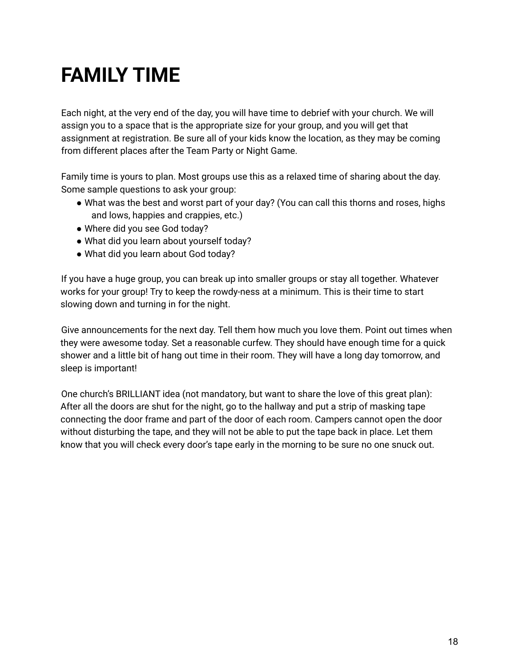## **FAMILY TIME**

Each night, at the very end of the day, you will have time to debrief with your church. We will assign you to a space that is the appropriate size for your group, and you will get that assignment at registration. Be sure all of your kids know the location, as they may be coming from different places after the Team Party or Night Game.

Family time is yours to plan. Most groups use this as a relaxed time of sharing about the day. Some sample questions to ask your group:

- What was the best and worst part of your day? (You can call this thorns and roses, highs and lows, happies and crappies, etc.)
- Where did you see God today?
- What did you learn about yourself today?
- What did you learn about God today?

If you have a huge group, you can break up into smaller groups or stay all together. Whatever works for your group! Try to keep the rowdy-ness at a minimum. This is their time to start slowing down and turning in for the night.

Give announcements for the next day. Tell them how much you love them. Point out times when they were awesome today. Set a reasonable curfew. They should have enough time for a quick shower and a little bit of hang out time in their room. They will have a long day tomorrow, and sleep is important!

One church's BRILLIANT idea (not mandatory, but want to share the love of this great plan): After all the doors are shut for the night, go to the hallway and put a strip of masking tape connecting the door frame and part of the door of each room. Campers cannot open the door without disturbing the tape, and they will not be able to put the tape back in place. Let them know that you will check every door's tape early in the morning to be sure no one snuck out.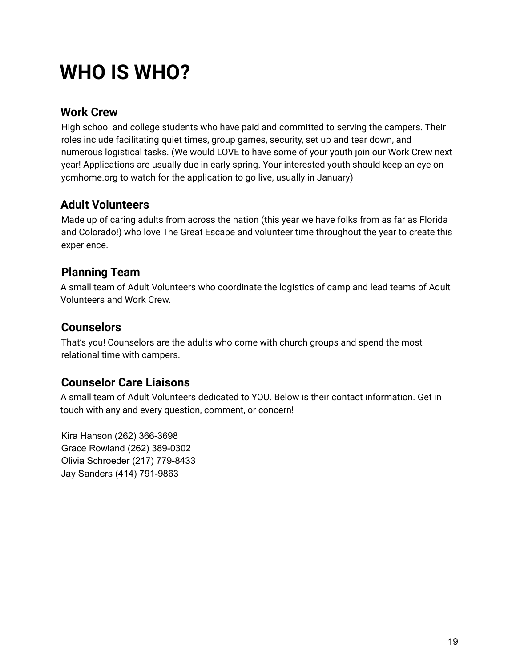## **WHO IS WHO?**

#### **Work Crew**

High school and college students who have paid and committed to serving the campers. Their roles include facilitating quiet times, group games, security, set up and tear down, and numerous logistical tasks. (We would LOVE to have some of your youth join our Work Crew next year! Applications are usually due in early spring. Your interested youth should keep an eye on ycmhome.org to watch for the application to go live, usually in January)

### **Adult Volunteers**

Made up of caring adults from across the nation (this year we have folks from as far as Florida and Colorado!) who love The Great Escape and volunteer time throughout the year to create this experience.

### **Planning Team**

A small team of Adult Volunteers who coordinate the logistics of camp and lead teams of Adult Volunteers and Work Crew.

#### **Counselors**

That's you! Counselors are the adults who come with church groups and spend the most relational time with campers.

#### **Counselor Care Liaisons**

A small team of Adult Volunteers dedicated to YOU. Below is their contact information. Get in touch with any and every question, comment, or concern!

Kira Hanson (262) 366-3698 Grace Rowland (262) 389-0302 Olivia Schroeder (217) 779-8433 Jay Sanders (414) 791-9863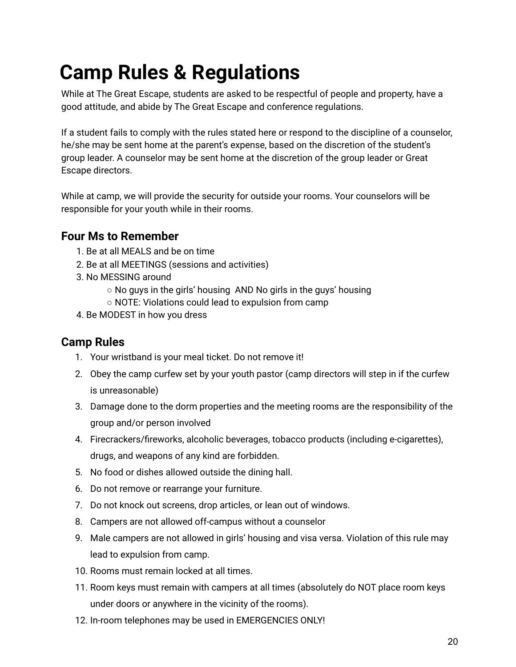## **Camp Rules & Regulations**

While at The Great Escape, students are asked to be respectful of people and property, have a good attitude, and abide by The Great Escape and conference regulations.

If a student fails to comply with the rules stated here or respond to the discipline of a counselor, he/she may be sent home at the parent's expense, based on the discretion of the student's group leader. A counselor may be sent home at the discretion of the group leader or Great Escape directors.

While at camp, we will provide the security for outside your rooms. Your counselors will be responsible for your youth while in their rooms.

#### **Four Ms to Remember**

- 1. Be at all MEALS and be on time
- 2. Be at all MEETINGS (sessions and activities)
- 3. No MESSING around
	- No guys in the girls' housing AND No girls in the guys' housing
	- NOTE: Violations could lead to expulsion from camp
- 4. Be MODEST in how you dress

#### **Camp Rules**

- 1. Your wristband is your meal ticket. Do not remove it!
- 2. Obey the camp curfew set by your youth pastor (camp directors will step in if the curfew is unreasonable)
- 3. Damage done to the dorm properties and the meeting rooms are the responsibility of the group and/or person involved
- 4. Firecrackers/fireworks, alcoholic beverages, tobacco products (including e-cigarettes), drugs, and weapons of any kind are forbidden.
- 5. No food or dishes allowed outside the dining hall.
- 6. Do not remove or rearrange your furniture.
- 7. Do not knock out screens, drop articles, or lean out of windows.
- 8. Campers are not allowed off-campus without a counselor
- 9. Male campers are not allowed in girls' housing and visa versa. Violation of this rule may lead to expulsion from camp.
- 10. Rooms must remain locked at all times.
- 11. Room keys must remain with campers at all times (absolutely do NOT place room keys under doors or anywhere in the vicinity of the rooms).
- 12. In-room telephones may be used in EMERGENCIES ONLY!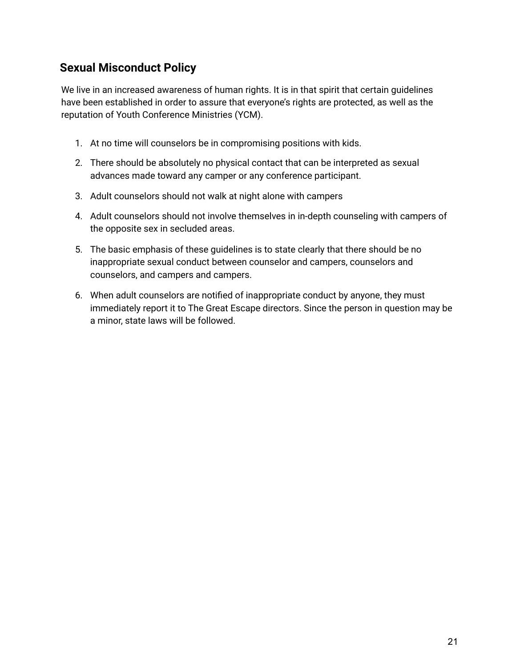#### **Sexual Misconduct Policy**

We live in an increased awareness of human rights. It is in that spirit that certain guidelines have been established in order to assure that everyone's rights are protected, as well as the reputation of Youth Conference Ministries (YCM).

- 1. At no time will counselors be in compromising positions with kids.
- 2. There should be absolutely no physical contact that can be interpreted as sexual advances made toward any camper or any conference participant.
- 3. Adult counselors should not walk at night alone with campers
- 4. Adult counselors should not involve themselves in in-depth counseling with campers of the opposite sex in secluded areas.
- 5. The basic emphasis of these guidelines is to state clearly that there should be no inappropriate sexual conduct between counselor and campers, counselors and counselors, and campers and campers.
- 6. When adult counselors are notified of inappropriate conduct by anyone, they must immediately report it to The Great Escape directors. Since the person in question may be a minor, state laws will be followed.